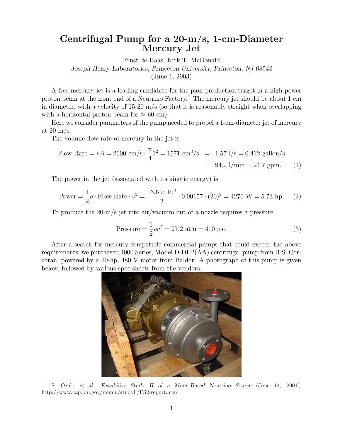## Centrifugal Pump for a 20-m/s, 1-cm-Diameter Mercury Jet

Ernst de Haas, Kirk T. McDonald

Joseph Henry Laboratories, Princeton University, Princeton, NJ 08544

(June 1, 2003)

A free mercury jet is a leading candidate for the pion-production target in a high-power proton beam at the front end of a Neutrino Factory.<sup>1</sup> The mercury jet should be about 1 cm in diameter, with a velocity of 15-20 m/s (so that it is reasonably straight when overlapping with a horizontal proton beam for  $\approx 60$  cm).

Here we consider parameters of the pump needed to propel a 1-cm-diameter jet of mercury at 20 m/s.

The volume flow rate of mercury in the jet is

Flow Rate = 
$$
vA = 2000 \text{ cm/s} \cdot \frac{\pi}{4} 1^2 = 1571 \text{ cm}^3/\text{s} = 1.57 \text{ l/s} = 0.412 \text{ gallon/s}
$$
  
= 94.2 l/min = 24.7 gpm. (1)

The power in the jet (associated with its kinetic energy) is

Power = 
$$
\frac{1}{2}\rho \cdot \text{Flow Rate} \cdot v^2 = \frac{13.6 \times 10^3}{2} \cdot 0.00157 \cdot (20)^2 = 4270 \text{ W} = 5.73 \text{ hp.}
$$
 (2)

To produce the 20-m/s jet into air/vacuum out of a nozzle requires a pressure

$$
Pressure = \frac{1}{2}\rho v^2 = 27.2 \text{ atm} = 410 \text{ psi.}
$$
 (3)

After a search for mercury-compatible commercial pumps that could exceed the above requirements, we purchased 4000 Series, Model D-DH2(AA) centrifugal pump from R.S. Corcoran, powered by a 20-hp, 480 V motor from Baldor. A photograph of this pump is given below, followed by various spec sheets from the vendors.



<sup>1</sup>S. Ozaki et al., Feasibility Study II of a Muon-Based Neutrino Source (June 14, 2001), http://www.cap.bnl.gov/mumu/studyii/FS2-report.html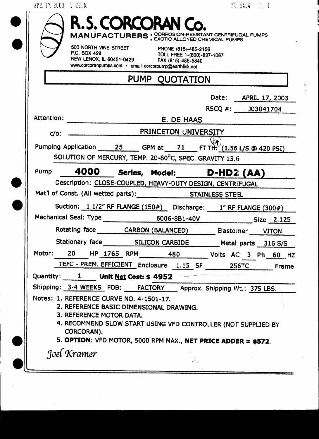|                                               | NO. 5484 P. 1<br>APR. 17. 2003 3:22FM                                                                                                                                          |  |  |  |  |  |  |  |  |
|-----------------------------------------------|--------------------------------------------------------------------------------------------------------------------------------------------------------------------------------|--|--|--|--|--|--|--|--|
|                                               | R.S. CORCORAN Co.<br>MANUFACTURERS: CORROSION-RESISTANT CENTRIFUGAL PUMPS                                                                                                      |  |  |  |  |  |  |  |  |
|                                               | 500 NORTH VINE STREET<br>P.O. BOX 429<br>NEW LENOX, IL 60451-0429<br>NEW LENOX, IL 60451-0429<br>FAX (815)-485-5840<br>www.corcoranpumps.com · email: corcorpump@earthlink.net |  |  |  |  |  |  |  |  |
|                                               | PUMP QUOTATION                                                                                                                                                                 |  |  |  |  |  |  |  |  |
|                                               | Date: <b>APRIL 17, 2003</b>                                                                                                                                                    |  |  |  |  |  |  |  |  |
|                                               | RSCQ #: 303041704                                                                                                                                                              |  |  |  |  |  |  |  |  |
|                                               | Attention:<br>E. DE HAAS                                                                                                                                                       |  |  |  |  |  |  |  |  |
|                                               |                                                                                                                                                                                |  |  |  |  |  |  |  |  |
|                                               |                                                                                                                                                                                |  |  |  |  |  |  |  |  |
|                                               | Pumping Application 25 GPM at 71 FT TH. $(1.56 \text{ L/S} \oplus 420 \text{ PSI})$                                                                                            |  |  |  |  |  |  |  |  |
|                                               | SOLUTION OF MERCURY, TEMP. 20-80°C, SPEC. GRAVITY 13.6                                                                                                                         |  |  |  |  |  |  |  |  |
|                                               | Pump 4000 Series, Model: D-HD2 (AA)                                                                                                                                            |  |  |  |  |  |  |  |  |
|                                               | Description: CLOSE-COUPLED, HEAVY-DUTY DESIGN, CENTRIFUGAL                                                                                                                     |  |  |  |  |  |  |  |  |
|                                               | Mat'l of Const. (All wetted parts): STAINLESS STEEL                                                                                                                            |  |  |  |  |  |  |  |  |
|                                               | Suction: 1 1/2" RF FLANGE (150#) Discharge: 1" RF FLANGE (300#)                                                                                                                |  |  |  |  |  |  |  |  |
| Mechanical Seal: Type 6006-8B1-40V Size 2.125 |                                                                                                                                                                                |  |  |  |  |  |  |  |  |
|                                               | Rotating face _________ CARBON (BALANCED) _________ Elastomer ____ VITON                                                                                                       |  |  |  |  |  |  |  |  |
|                                               |                                                                                                                                                                                |  |  |  |  |  |  |  |  |
|                                               | Motor: 20 HP 1765 RPM 480 Volts AC 3 Ph 60 HZ                                                                                                                                  |  |  |  |  |  |  |  |  |
|                                               | TEFC - PREM. EFFICIENT Enclosure 1.15 SF 256TC Frame                                                                                                                           |  |  |  |  |  |  |  |  |
|                                               | Quantity: $1$ Unit Net Cost: \$4952 –                                                                                                                                          |  |  |  |  |  |  |  |  |
|                                               | Shipping: 3-4 WEEKS FOB: FACTORY Approx. Shipping Wt.: 375 LBS.                                                                                                                |  |  |  |  |  |  |  |  |
|                                               | Notes: 1. REFERENCE CURVE NO. 4-1501-17.                                                                                                                                       |  |  |  |  |  |  |  |  |
|                                               | 2. REFERENCE BASIC DIMENSIONAL DRAWING.<br>3. REFERENCE MOTOR DATA.                                                                                                            |  |  |  |  |  |  |  |  |
|                                               | 4. RECOMMEND SLOW START USING VFD CONTROLLER (NOT SUPPLIED BY                                                                                                                  |  |  |  |  |  |  |  |  |
|                                               | CORCORAN).                                                                                                                                                                     |  |  |  |  |  |  |  |  |
|                                               | 5. OPTION: VFD MOTOR, 5000 RPM MAX., NET PRICE ADDER = \$572.                                                                                                                  |  |  |  |  |  |  |  |  |
|                                               | Joel Kramer<br>35                                                                                                                                                              |  |  |  |  |  |  |  |  |
|                                               |                                                                                                                                                                                |  |  |  |  |  |  |  |  |

ż,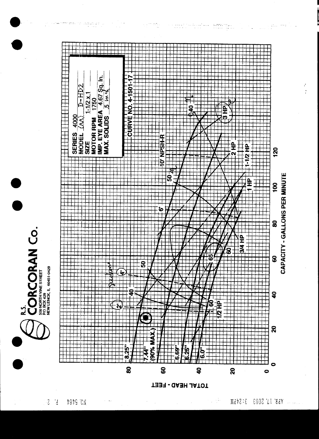

 $-5 - 5$ D8D9 CN MTAS: 8 8003 71 RIA 11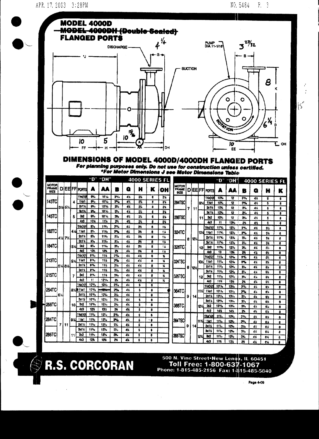APR. 17, 2003 3:28PM

NO. 5484  $P<sub>3</sub>$ 



R.S. CORCORAN

500 N. Vine Street. New Lenox, IL 60451 Toll Free: 1-800-637-1067<br>Phone: 1-815-485-2156 Fax: 1-815-485-5840

Page 4-09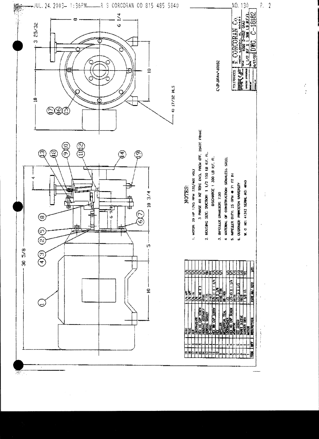

 $\overline{\mathcal{W}}$  .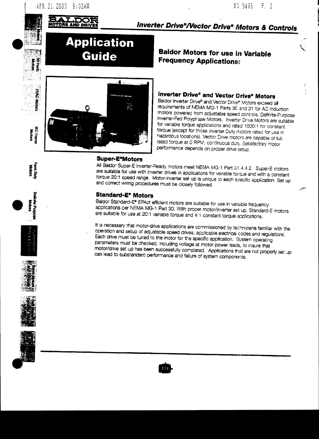etter.

Motors<br>Motors 澢

OWN:

**ENOTE** 

**HEC Frame**<br>Motors

Farm Duty<br>Motors

بالمنتفقة



# Inverter Drive®/Vector Drive® Motors & Controls

 $P. 2$ 

NO. 5495

# **Application Guide**

**Baldor Motors for use in Variable Frequency Applications:** 



### Inverter Drive<sup>®</sup> and Vector Drive® Motors

Baldor Inverter Drive® and Vector Drive® Motors exceed all requirements of NEMA MG-1 Parts 30 and 31 for AC induction motors powered from adjustable speed controls. Definite-Purpose Inverter-Fed Polyphase Motors. Inverter Drive Motors are suitable for variable torque applications and rated 1000:1 for constant torque (except for those inverter Duty motors rated for use in hazardous locations). Vector Drive motors are capable of full. rated torque at 0 RPM, continuous duty. Satisfactory motor performance depends on proper drive setup.

#### **Super-E°Motors**

All Baldor Super-E Inverter-Ready motors meet NEMA MG-1 Part 31.4.4.2. Super-E motors are suitable for use with inverter drives in applications for variable torque and with a constant torque 20:1 speed range. Motor-inverter set up is unique to each specific application. Set up and correct wiring procedures must be closely followed.

#### **Standard-E<sup>®</sup> Motors**

Baidor Standard-E® EPAct efficient motors are suitable for use in variable frequency applications per NEMA MG-1 Part 30. With proper motor/inverter set up, Standard-E motors are suitable for use at 20:1 variable torque and 4:1 constant torque applications.

It is necessary that motor-drive applications are commissioned by technicians familiar with the operation and setup of adjustable speed drives, applicable electrical codes and regulations. Each drive must be tuned to the motor for the specific application. System operating parameters must be checked, including voitage at motor power leads, to insure that motor/drive set up has been successfully completed. Applications that are not properly set up can lead to substandard performance and failure of system components.









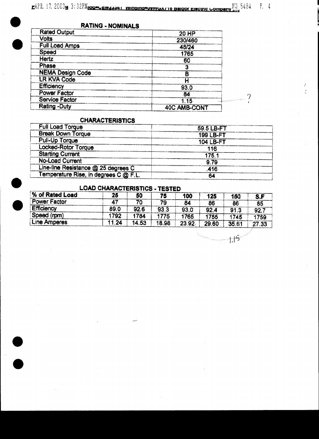

 $\mathsf{r}$ 

# **RATING - NOMINALS**

| Rated Outbut            | 20 HP               |  |
|-------------------------|---------------------|--|
| <b>Volts</b>            | 230/460             |  |
| <b>Full Load Amps</b>   | 48/24               |  |
| Speed                   | 1765                |  |
| Hertz                   | 60                  |  |
| Phase                   | 3                   |  |
| <b>NEMA Design Code</b> | В                   |  |
| <b>LR KVA Code</b>      |                     |  |
| <b>Efficiency</b>       | 93.0                |  |
| <b>Power Factor</b>     | 84                  |  |
| <b>Service Factor</b>   | 1.15                |  |
| <b>Rating -Duty</b>     | <b>40C AMB-CONT</b> |  |
|                         |                     |  |

## **CHARACTERISTICS**

| Full Load Torque                      | 59.5 LB-FT       |
|---------------------------------------|------------------|
| <b>Break Down Torque</b>              | <b>199 LB-FT</b> |
| <b>Pull-Up Torque</b>                 | <b>104 LB-FT</b> |
| <b>Locked-Rotor Torque</b>            | 116              |
| <b>Starting Current</b>               | 175.1            |
| <b>No-Load Current</b>                | 9.79             |
| Line-line Resistance @ 25 degrees C   | .416             |
| Temperature Rise, in degrees C @ F.L. | 64               |

### **LOAD CHARACTERISTICS - TESTED**

| % of Rated Load   | 25   | 50    | 75    | 100   | 125   | 150   | S.F   |
|-------------------|------|-------|-------|-------|-------|-------|-------|
| Power Factor      | 47   | 70    | 79    | 84    | 86    | 86    | 85    |
| <b>Efficiency</b> | 89.0 | 92.6  | 93.3  | 93.0  | 92.4  | 91.3  | 92.7  |
| Speed (rpm)       | 792  | 1784  | 1775  | 1765  | 1755  | 1745  | 1759  |
| Line Amperes      | .24  | 14.53 | 18.98 | 23.92 | 29.60 | 35.61 | 27.33 |

 $+15$